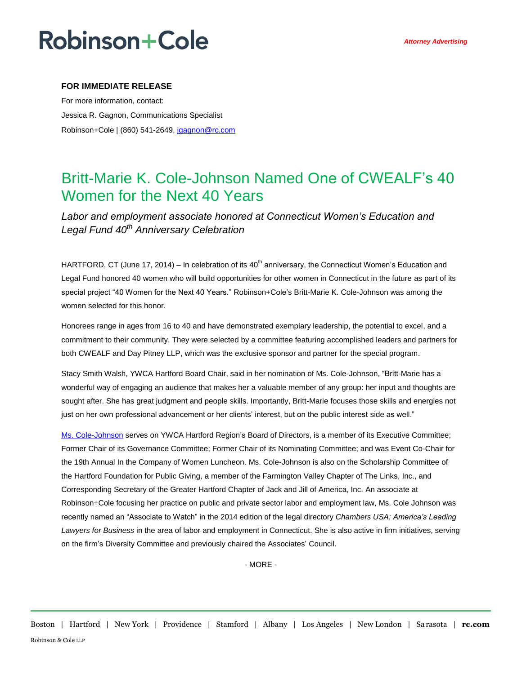## **Robinson+Cole**

### **FOR IMMEDIATE RELEASE**

For more information, contact: Jessica R. Gagnon, Communications Specialist Robinson+Cole | (860) 541-2649[, jgagnon@rc.com](mailto:jgagnon@rc.com)

### Britt-Marie K. Cole-Johnson Named One of CWEALF's 40 Women for the Next 40 Years

*Labor and employment associate honored at Connecticut Women's Education and Legal Fund 40th Anniversary Celebration*

HARTFORD, CT (June 17, 2014) – In celebration of its  $40<sup>th</sup>$  anniversary, the Connecticut Women's Education and Legal Fund honored 40 women who will build opportunities for other women in Connecticut in the future as part of its special project "40 Women for the Next 40 Years." Robinson+Cole's Britt-Marie K. Cole-Johnson was among the women selected for this honor.

Honorees range in ages from 16 to 40 and have demonstrated exemplary leadership, the potential to excel, and a commitment to their community. They were selected by a committee featuring accomplished leaders and partners for both CWEALF and Day Pitney LLP, which was the exclusive sponsor and partner for the special program.

Stacy Smith Walsh, YWCA Hartford Board Chair, said in her nomination of Ms. Cole-Johnson, "Britt-Marie has a wonderful way of engaging an audience that makes her a valuable member of any group: her input and thoughts are sought after. She has great judgment and people skills. Importantly, Britt-Marie focuses those skills and energies not just on her own professional advancement or her clients' interest, but on the public interest side as well."

[Ms. Cole-Johnson](http://www.rc.com/people/Britt-MarieKCole-Johnson.cfm#community-involvement) serves on YWCA Hartford Region's Board of Directors, is a member of its Executive Committee; Former Chair of its Governance Committee; Former Chair of its Nominating Committee; and was Event Co-Chair for the 19th Annual In the Company of Women Luncheon. Ms. Cole-Johnson is also on the Scholarship Committee of the Hartford Foundation for Public Giving, a member of the Farmington Valley Chapter of The Links, Inc., and Corresponding Secretary of the Greater Hartford Chapter of Jack and Jill of America, Inc. An associate at Robinson+Cole focusing her practice on public and private sector labor and employment law, Ms. Cole Johnson was recently named an "Associate to Watch" in the 2014 edition of the legal directory *Chambers USA: America's Leading Lawyers for Business* in the area of labor and employment in Connecticut. She is also active in firm initiatives, serving on the firm's Diversity Committee and previously chaired the Associates' Council.

- MORE -